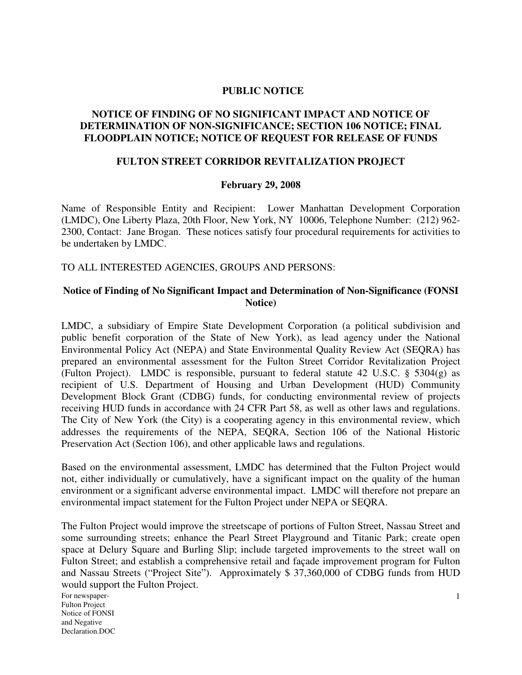### **PUBLIC NOTICE**

# **NOTICE OF FINDING OF NO SIGNIFICANT IMPACT AND NOTICE OF DETERMINATION OF NON-SIGNIFICANCE; SECTION 106 NOTICE; FINAL FLOODPLAIN NOTICE; NOTICE OF REQUEST FOR RELEASE OF FUNDS**

# **FULTON STREET CORRIDOR REVITALIZATION PROJECT**

#### **February 29, 2008**

Name of Responsible Entity and Recipient: Lower Manhattan Development Corporation (LMDC), One Liberty Plaza, 20th Floor, New York, NY 10006, Telephone Number: (212) 962- 2300, Contact: Jane Brogan. These notices satisfy four procedural requirements for activities to be undertaken by LMDC.

TO ALL INTERESTED AGENCIES, GROUPS AND PERSONS:

## **Notice of Finding of No Significant Impact and Determination of Non-Significance (FONSI Notice)**

LMDC, a subsidiary of Empire State Development Corporation (a political subdivision and public benefit corporation of the State of New York), as lead agency under the National Environmental Policy Act (NEPA) and State Environmental Quality Review Act (SEQRA) has prepared an environmental assessment for the Fulton Street Corridor Revitalization Project (Fulton Project). LMDC is responsible, pursuant to federal statute 42 U.S.C. § 5304(g) as recipient of U.S. Department of Housing and Urban Development (HUD) Community Development Block Grant (CDBG) funds, for conducting environmental review of projects receiving HUD funds in accordance with 24 CFR Part 58, as well as other laws and regulations. The City of New York (the City) is a cooperating agency in this environmental review, which addresses the requirements of the NEPA, SEQRA, Section 106 of the National Historic Preservation Act (Section 106), and other applicable laws and regulations.

Based on the environmental assessment, LMDC has determined that the Fulton Project would not, either individually or cumulatively, have a significant impact on the quality of the human environment or a significant adverse environmental impact. LMDC will therefore not prepare an environmental impact statement for the Fulton Project under NEPA or SEQRA.

The Fulton Project would improve the streetscape of portions of Fulton Street, Nassau Street and some surrounding streets; enhance the Pearl Street Playground and Titanic Park; create open space at Delury Square and Burling Slip; include targeted improvements to the street wall on Fulton Street; and establish a comprehensive retail and façade improvement program for Fulton and Nassau Streets ("Project Site"). Approximately \$ 37,360,000 of CDBG funds from HUD would support the Fulton Project.

For newspaper-Fulton Project Notice of FONSI and Negative Declaration.DOC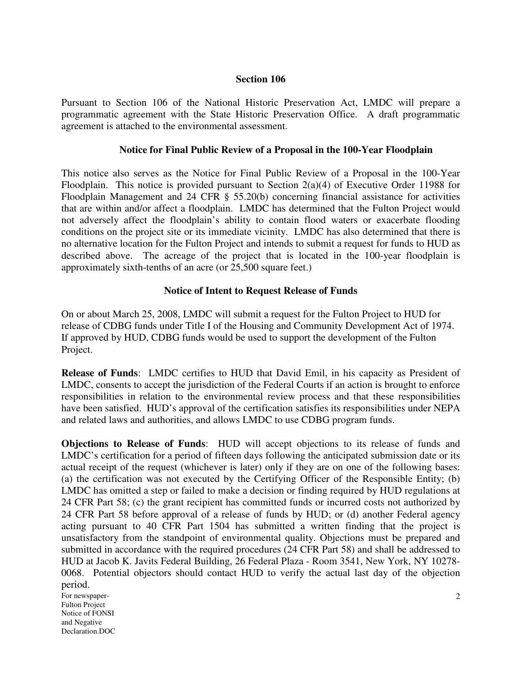### **Section 106**

Pursuant to Section 106 of the National Historic Preservation Act, LMDC will prepare a programmatic agreement with the State Historic Preservation Office. A draft programmatic agreement is attached to the environmental assessment.

# **Notice for Final Public Review of a Proposal in the 100-Year Floodplain**

This notice also serves as the Notice for Final Public Review of a Proposal in the 100-Year Floodplain. This notice is provided pursuant to Section  $2(a)(4)$  of Executive Order 11988 for Floodplain Management and 24 CFR § 55.20(b) concerning financial assistance for activities that are within and/or affect a floodplain. LMDC has determined that the Fulton Project would not adversely affect the floodplain's ability to contain flood waters or exacerbate flooding conditions on the project site or its immediate vicinity. LMDC has also determined that there is no alternative location for the Fulton Project and intends to submit a request for funds to HUD as described above. The acreage of the project that is located in the 100-year floodplain is approximately sixth-tenths of an acre (or 25,500 square feet.)

# **Notice of Intent to Request Release of Funds**

On or about March 25, 2008, LMDC will submit a request for the Fulton Project to HUD for release of CDBG funds under Title I of the Housing and Community Development Act of 1974. If approved by HUD, CDBG funds would be used to support the development of the Fulton Project.

**Release of Funds**: LMDC certifies to HUD that David Emil, in his capacity as President of LMDC, consents to accept the jurisdiction of the Federal Courts if an action is brought to enforce responsibilities in relation to the environmental review process and that these responsibilities have been satisfied. HUD's approval of the certification satisfies its responsibilities under NEPA and related laws and authorities, and allows LMDC to use CDBG program funds.

**Objections to Release of Funds**: HUD will accept objections to its release of funds and LMDC's certification for a period of fifteen days following the anticipated submission date or its actual receipt of the request (whichever is later) only if they are on one of the following bases: (a) the certification was not executed by the Certifying Officer of the Responsible Entity; (b) LMDC has omitted a step or failed to make a decision or finding required by HUD regulations at 24 CFR Part 58; (c) the grant recipient has committed funds or incurred costs not authorized by 24 CFR Part 58 before approval of a release of funds by HUD; or (d) another Federal agency acting pursuant to 40 CFR Part 1504 has submitted a written finding that the project is unsatisfactory from the standpoint of environmental quality. Objections must be prepared and submitted in accordance with the required procedures (24 CFR Part 58) and shall be addressed to HUD at Jacob K. Javits Federal Building, 26 Federal Plaza - Room 3541, New York, NY 10278- 0068. Potential objectors should contact HUD to verify the actual last day of the objection period.

For newspaper-Fulton Project Notice of FONSI and Negative Declaration.DOC